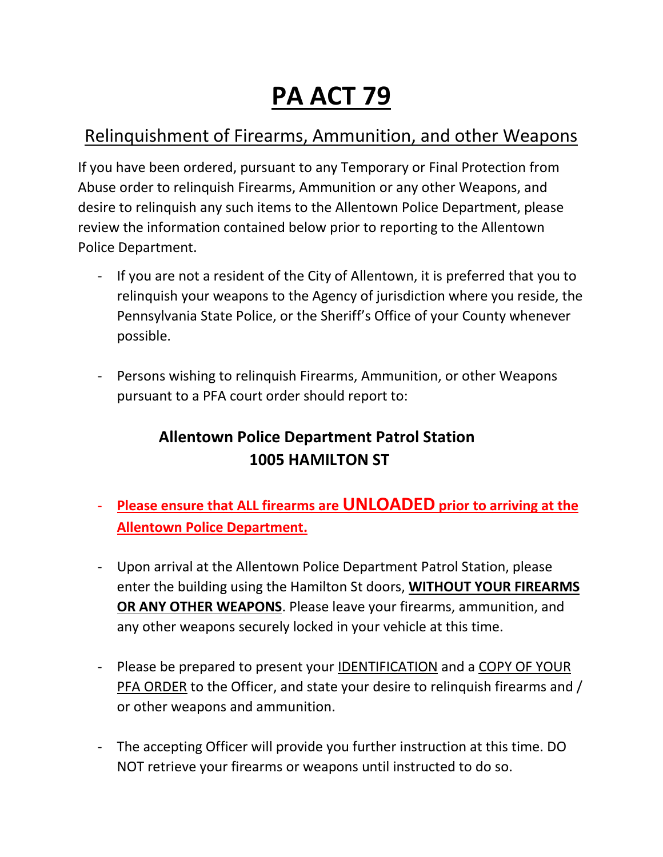## **PA ACT 79**

## Relinquishment of Firearms, Ammunition, and other Weapons

If you have been ordered, pursuant to any Temporary or Final Protection from Abuse order to relinquish Firearms, Ammunition or any other Weapons, and desire to relinquish any such items to the Allentown Police Department, please review the information contained below prior to reporting to the Allentown Police Department.

- If you are not a resident of the City of Allentown, it is preferred that you to relinquish your weapons to the Agency of jurisdiction where you reside, the Pennsylvania State Police, or the Sheriff's Office of your County whenever possible.
- Persons wishing to relinquish Firearms, Ammunition, or other Weapons pursuant to a PFA court order should report to:

### **Allentown Police Department Patrol Station 1005 HAMILTON ST**

- **Please ensure that ALL firearms are UNLOADED prior to arriving at the Allentown Police Department.**
- Upon arrival at the Allentown Police Department Patrol Station, please enter the building using the Hamilton St doors, **WITHOUT YOUR FIREARMS OR ANY OTHER WEAPONS**. Please leave your firearms, ammunition, and any other weapons securely locked in your vehicle at this time.
- Please be prepared to present your IDENTIFICATION and a COPY OF YOUR PFA ORDER to the Officer, and state your desire to relinquish firearms and / or other weapons and ammunition.
- The accepting Officer will provide you further instruction at this time. DO NOT retrieve your firearms or weapons until instructed to do so.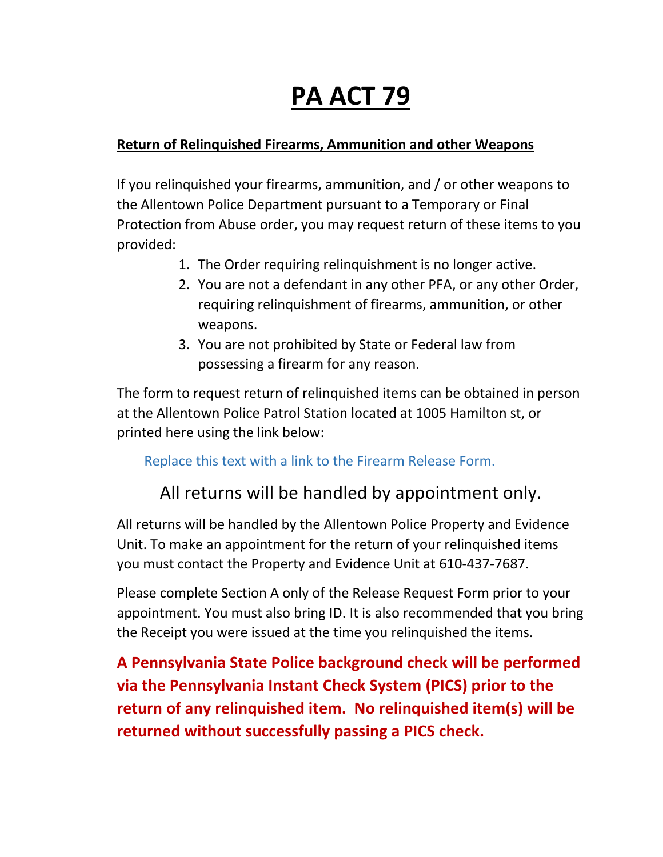# **PA ACT 79**

#### **Return of Relinquished Firearms, Ammunition and other Weapons**

If you relinquished your firearms, ammunition, and / or other weapons to the Allentown Police Department pursuant to a Temporary or Final Protection from Abuse order, you may request return of these items to you provided:

- 1. The Order requiring relinquishment is no longer active.
- 2. You are not a defendant in any other PFA, or any other Order, requiring relinquishment of firearms, ammunition, or other weapons.
- 3. You are not prohibited by State or Federal law from possessing a firearm for any reason.

The form to request return of relinquished items can be obtained in person at the Allentown Police Patrol Station located at 1005 Hamilton st, or printed here using the link below:

#### Replace this text with a link to the Firearm Release Form.

## All returns will be handled by appointment only.

All returns will be handled by the Allentown Police Property and Evidence Unit. To make an appointment for the return of your relinquished items you must contact the Property and Evidence Unit at 610-437-7687.

Please complete Section A only of the Release Request Form prior to your appointment. You must also bring ID. It is also recommended that you bring the Receipt you were issued at the time you relinquished the items.

**A Pennsylvania State Police background check will be performed via the Pennsylvania Instant Check System (PICS) prior to the return of any relinquished item. No relinquished item(s) will be returned without successfully passing a PICS check.**